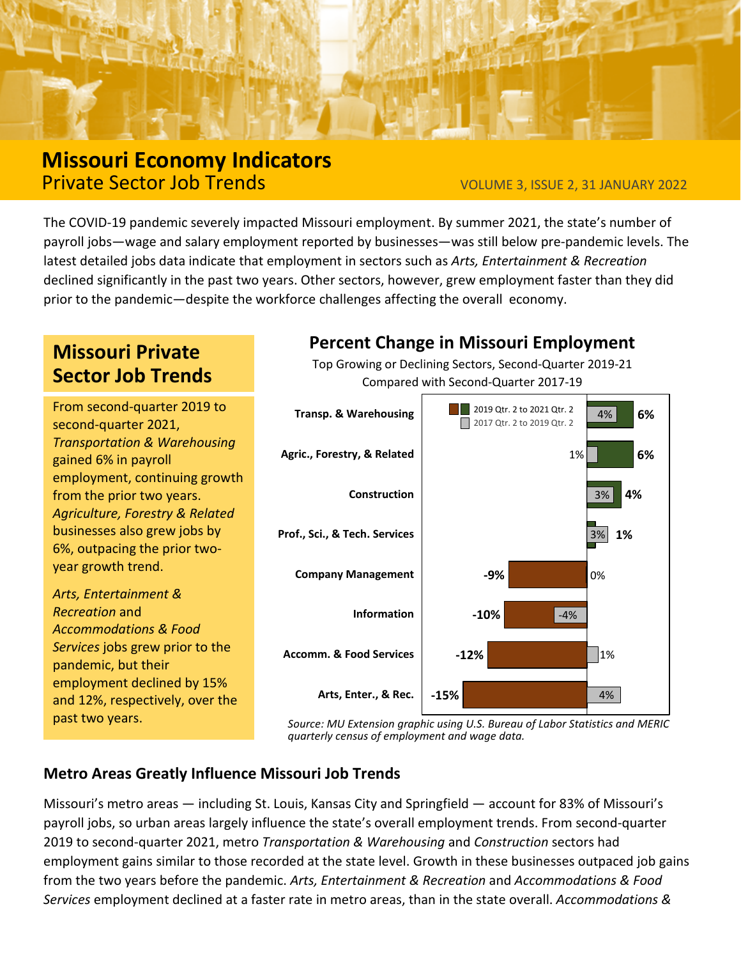

# **Missouri Economy Indicators Private Sector Job Trends** VOLUME 3, ISSUE 2, 31 JANUARY 2022

The COVID-19 pandemic severely impacted Missouri employment. By summer 2021, the state's number of payroll jobs—wage and salary employment reported by businesses—was still below pre-pandemic levels. The latest detailed jobs data indicate that employment in sectors such as *Arts, Entertainment & Recreation* declined significantly in the past two years. Other sectors, however, grew employment faster than they did prior to the pandemic—despite the workforce challenges affecting the overall economy.

# **Missouri Private Sector Job Trends**

From second-quarter 2019 to second-quarter 2021, *Transportation & Warehousing*  gained 6% in payroll employment, continuing growth from the prior two years. *Agriculture, Forestry & Related* businesses also grew jobs by 6%, outpacing the prior twoyear growth trend.

*Arts, Entertainment & Recreation* and *Accommodations & Food Services* jobs grew prior to the pandemic, but their employment declined by 15% and 12%, respectively, over the past two years.

## **Percent Change in Missouri Employment**

Top Growing or Declining Sectors, Second-Quarter 2019-21 Compared with Second-Quarter 2017-19



*Source: MU Extension graphic using U.S. Bureau of Labor Statistics and MERIC quarterly census of employment and wage data.*

### **Metro Areas Greatly Influence Missouri Job Trends**

Missouri's metro areas — including St. Louis, Kansas City and Springfield — account for 83% of Missouri's payroll jobs, so urban areas largely influence the state's overall employment trends. From second-quarter 2019 to second-quarter 2021, metro *Transportation & Warehousing* and *Construction* sectors had employment gains similar to those recorded at the state level. Growth in these businesses outpaced job gains from the two years before the pandemic. *Arts, Entertainment & Recreation* and *Accommodations & Food Services* employment declined at a faster rate in metro areas, than in the state overall. *Accommodations &*